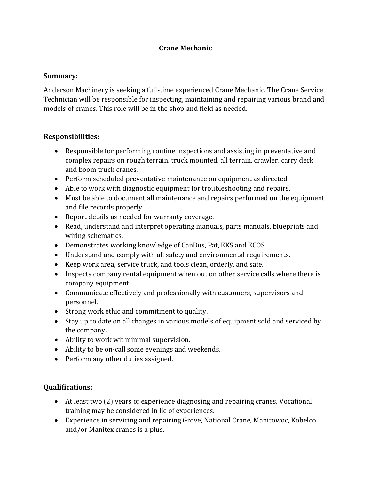## **Crane Mechanic**

## **Summary:**

Anderson Machinery is seeking a full-time experienced Crane Mechanic. The Crane Service Technician will be responsible for inspecting, maintaining and repairing various brand and models of cranes. This role will be in the shop and field as needed.

## **Responsibilities:**

- Responsible for performing routine inspections and assisting in preventative and complex repairs on rough terrain, truck mounted, all terrain, crawler, carry deck and boom truck cranes.
- Perform scheduled preventative maintenance on equipment as directed.
- Able to work with diagnostic equipment for troubleshooting and repairs.
- Must be able to document all maintenance and repairs performed on the equipment and file records properly.
- Report details as needed for warranty coverage.
- Read, understand and interpret operating manuals, parts manuals, blueprints and wiring schematics.
- Demonstrates working knowledge of CanBus, Pat, EKS and ECOS.
- Understand and comply with all safety and environmental requirements.
- Keep work area, service truck, and tools clean, orderly, and safe.
- Inspects company rental equipment when out on other service calls where there is company equipment.
- Communicate effectively and professionally with customers, supervisors and personnel.
- Strong work ethic and commitment to quality.
- Stay up to date on all changes in various models of equipment sold and serviced by the company.
- Ability to work wit minimal supervision.
- Ability to be on-call some evenings and weekends.
- Perform any other duties assigned.

## **Qualifications:**

- At least two (2) years of experience diagnosing and repairing cranes. Vocational training may be considered in lie of experiences.
- Experience in servicing and repairing Grove, National Crane, Manitowoc, Kobelco and/or Manitex cranes is a plus.